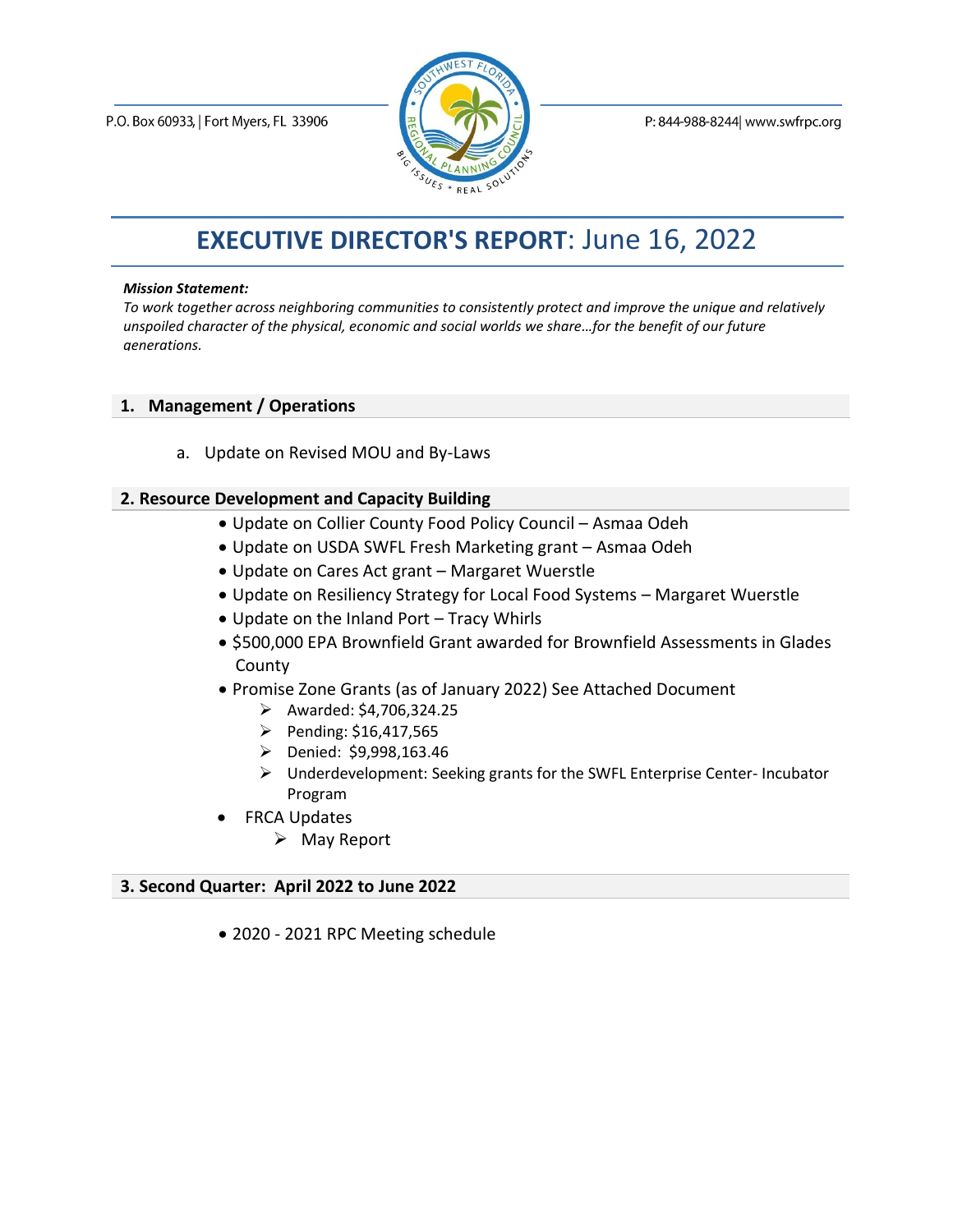

P: 844-988-8244 www.swfrpc.org

# **EXECUTIVE DIRECTOR'S REPORT**: June 16, 2022

#### *Mission Statement:*

*To work together across neighboring communities to consistently protect and improve the unique and relatively unspoiled character of the physical, economic and social worlds we share…for the benefit of our future generations.*

#### **1. Management / Operations**

a. Update on Revised MOU and By-Laws

#### **2. Resource Development and Capacity Building**

- Update on Collier County Food Policy Council Asmaa Odeh
- Update on USDA SWFL Fresh Marketing grant Asmaa Odeh
- Update on Cares Act grant Margaret Wuerstle
- Update on Resiliency Strategy for Local Food Systems Margaret Wuerstle
- Update on the Inland Port Tracy Whirls
- \$500,000 EPA Brownfield Grant awarded for Brownfield Assessments in Glades County
- Promise Zone Grants (as of January 2022) See Attached Document
	- ➢ Awarded: \$4,706,324.25
	- ➢ Pending: \$16,417,565
	- ➢ Denied: \$9,998,163.46
	- ➢ Underdevelopment: Seeking grants for the SWFL Enterprise Center- Incubator Program
- FRCA Updates
	- ➢ May Report

#### **3. Second Quarter: April 2022 to June 2022**

• 2020 - 2021 RPC Meeting schedule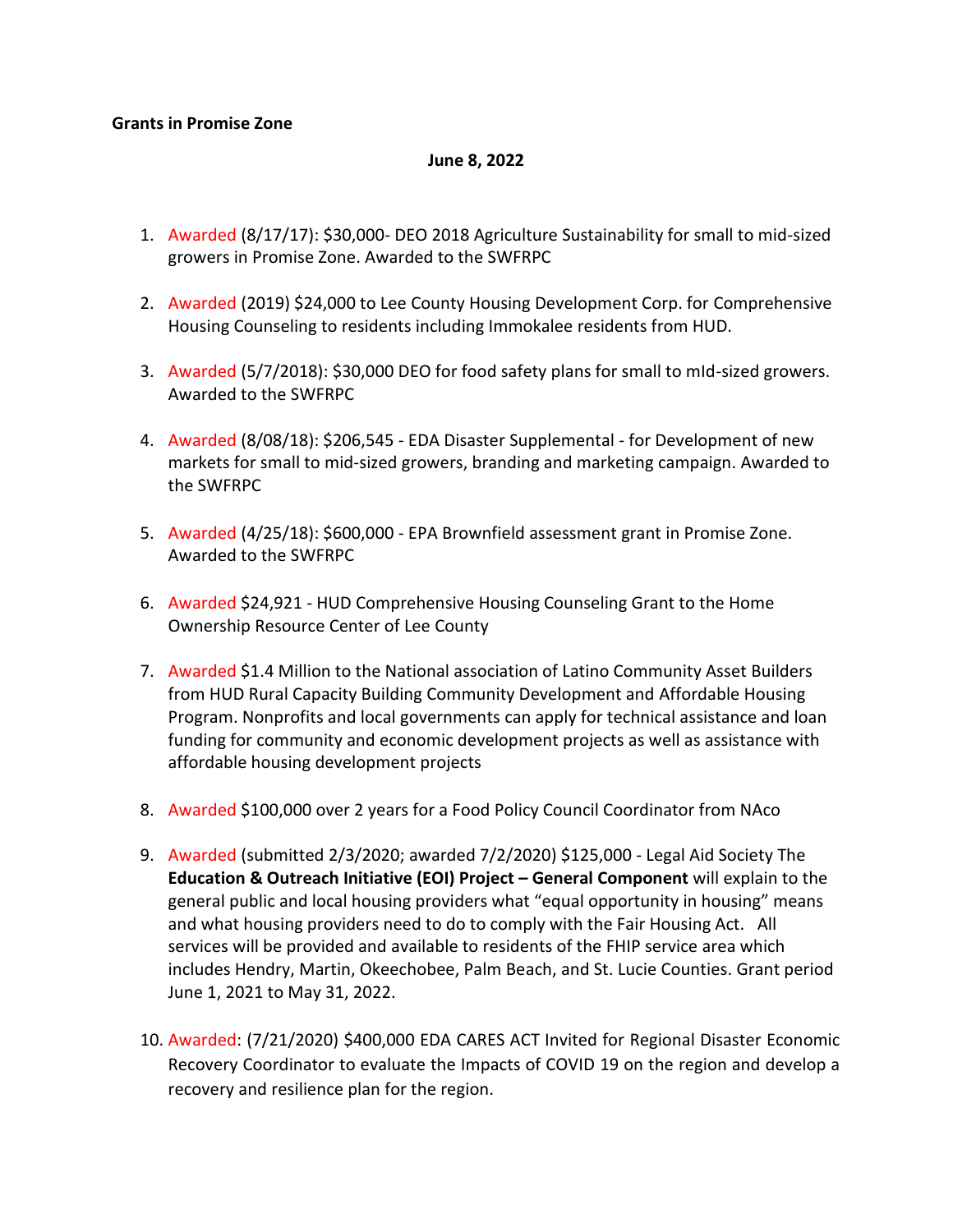#### **June 8, 2022**

- 1. Awarded (8/17/17): \$30,000- DEO 2018 Agriculture Sustainability for small to mid-sized growers in Promise Zone. Awarded to the SWFRPC
- 2. Awarded (2019) \$24,000 to Lee County Housing Development Corp. for Comprehensive Housing Counseling to residents including Immokalee residents from HUD.
- 3. Awarded (5/7/2018): \$30,000 DEO for food safety plans for small to mId-sized growers. Awarded to the SWFRPC
- 4. Awarded (8/08/18): \$206,545 EDA Disaster Supplemental for Development of new markets for small to mid-sized growers, branding and marketing campaign. Awarded to the SWFRPC
- 5. Awarded (4/25/18): \$600,000 EPA Brownfield assessment grant in Promise Zone. Awarded to the SWFRPC
- 6. Awarded \$24,921 HUD Comprehensive Housing Counseling Grant to the Home Ownership Resource Center of Lee County
- 7. Awarded \$1.4 Million to the National association of Latino Community Asset Builders from HUD Rural Capacity Building Community Development and Affordable Housing Program. Nonprofits and local governments can apply for technical assistance and loan funding for community and economic development projects as well as assistance with affordable housing development projects
- 8. Awarded \$100,000 over 2 years for a Food Policy Council Coordinator from NAco
- 9. Awarded (submitted 2/3/2020; awarded 7/2/2020) \$125,000 Legal Aid Society The **Education & Outreach Initiative (EOI) Project – General Component** will explain to the general public and local housing providers what "equal opportunity in housing" means and what housing providers need to do to comply with the Fair Housing Act. All services will be provided and available to residents of the FHIP service area which includes Hendry, Martin, Okeechobee, Palm Beach, and St. Lucie Counties. Grant period June 1, 2021 to May 31, 2022.
- 10. Awarded: (7/21/2020) \$400,000 EDA CARES ACT Invited for Regional Disaster Economic Recovery Coordinator to evaluate the Impacts of COVID 19 on the region and develop a recovery and resilience plan for the region.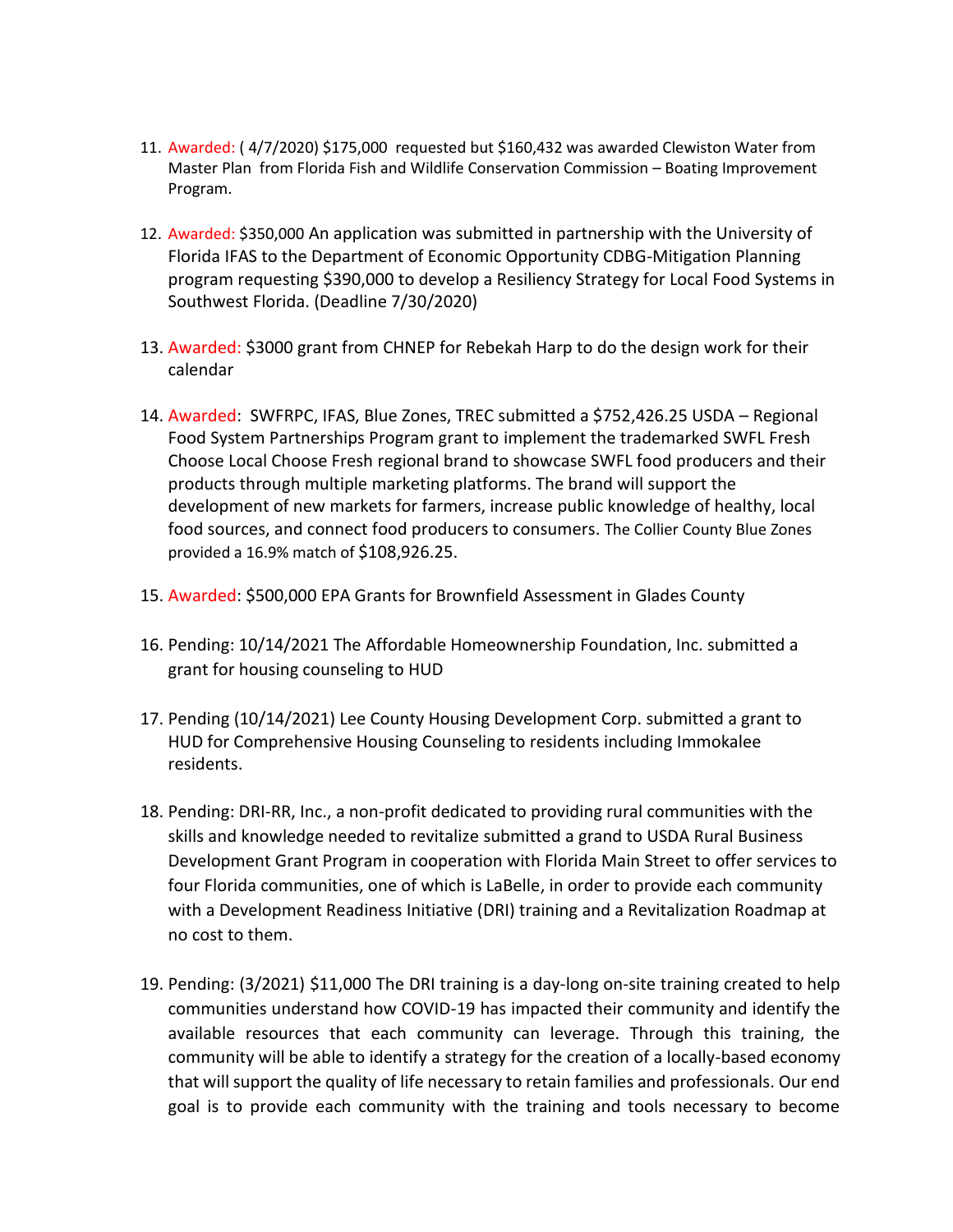- 11. Awarded: ( 4/7/2020) \$175,000 requested but \$160,432 was awarded Clewiston Water from Master Plan from Florida Fish and Wildlife Conservation Commission – Boating Improvement Program.
- 12. Awarded: \$350,000 An application was submitted in partnership with the University of Florida IFAS to the Department of Economic Opportunity CDBG-Mitigation Planning program requesting \$390,000 to develop a Resiliency Strategy for Local Food Systems in Southwest Florida. (Deadline 7/30/2020)
- 13. Awarded: \$3000 grant from CHNEP for Rebekah Harp to do the design work for their calendar
- 14. Awarded: SWFRPC, IFAS, Blue Zones, TREC submitted a \$752,426.25 USDA Regional Food System Partnerships Program grant to implement the trademarked SWFL Fresh Choose Local Choose Fresh regional brand to showcase SWFL food producers and their products through multiple marketing platforms. The brand will support the development of new markets for farmers, increase public knowledge of healthy, local food sources, and connect food producers to consumers. The Collier County Blue Zones provided a 16.9% match of \$108,926.25.
- 15. Awarded: \$500,000 EPA Grants for Brownfield Assessment in Glades County
- 16. Pending: 10/14/2021 The Affordable Homeownership Foundation, Inc. submitted a grant for housing counseling to HUD
- 17. Pending (10/14/2021) Lee County Housing Development Corp. submitted a grant to HUD for Comprehensive Housing Counseling to residents including Immokalee residents.
- 18. Pending: DRI-RR, Inc., a non-profit dedicated to providing rural communities with the skills and knowledge needed to revitalize submitted a grand to USDA Rural Business Development Grant Program in cooperation with Florida Main Street to offer services to four Florida communities, one of which is LaBelle, in order to provide each community with a Development Readiness Initiative (DRI) training and a Revitalization Roadmap at no cost to them.
- 19. Pending: (3/2021) \$11,000 The DRI training is a day-long on-site training created to help communities understand how COVID-19 has impacted their community and identify the available resources that each community can leverage. Through this training, the community will be able to identify a strategy for the creation of a locally-based economy that will support the quality of life necessary to retain families and professionals. Our end goal is to provide each community with the training and tools necessary to become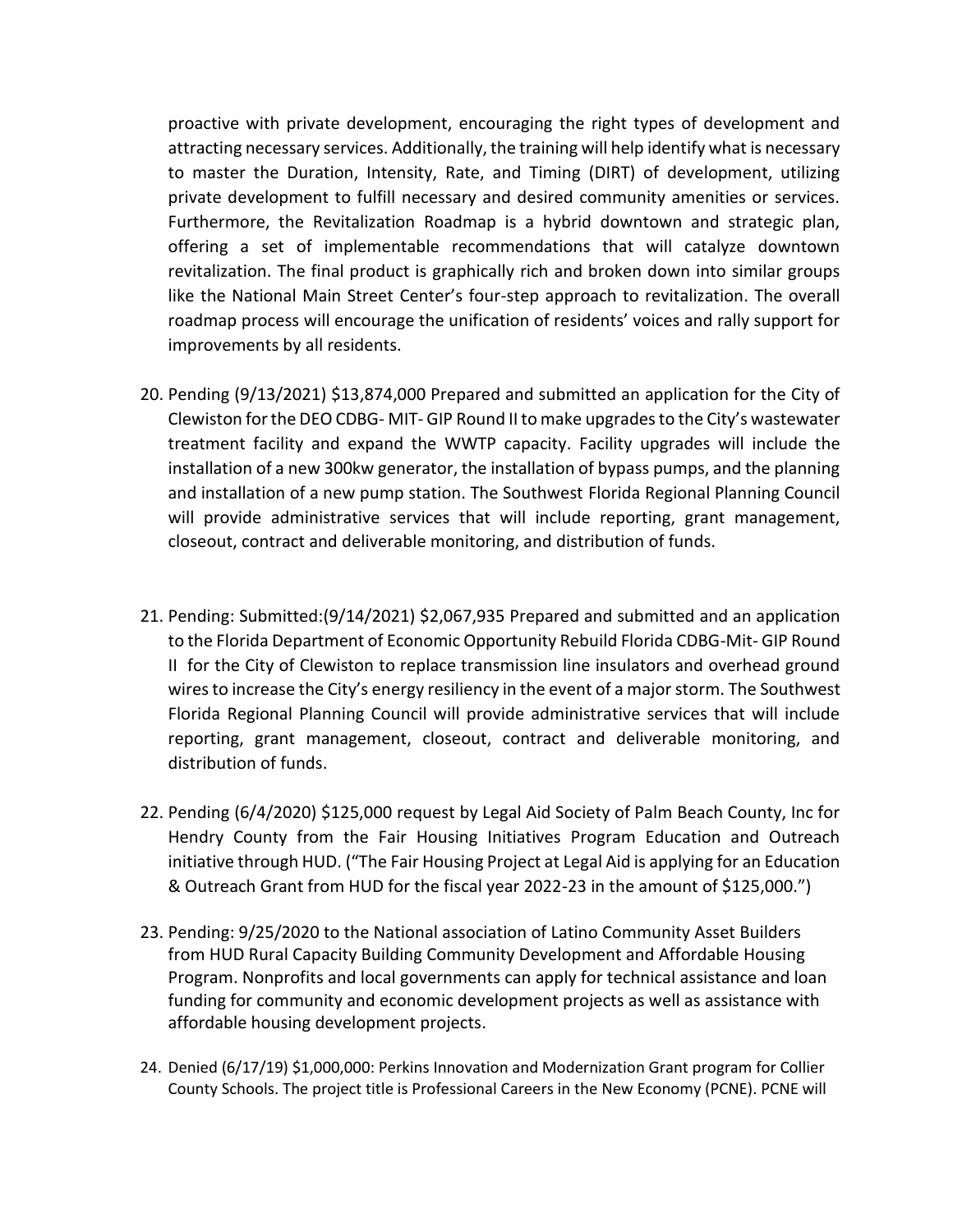proactive with private development, encouraging the right types of development and attracting necessary services. Additionally, the training will help identify what is necessary to master the Duration, Intensity, Rate, and Timing (DIRT) of development, utilizing private development to fulfill necessary and desired community amenities or services. Furthermore, the Revitalization Roadmap is a hybrid downtown and strategic plan, offering a set of implementable recommendations that will catalyze downtown revitalization. The final product is graphically rich and broken down into similar groups like the National Main Street Center's four-step approach to revitalization. The overall roadmap process will encourage the unification of residents' voices and rally support for improvements by all residents.

- 20. Pending (9/13/2021) \$13,874,000 Prepared and submitted an application for the City of Clewiston for the DEO CDBG- MIT- GIP Round II to make upgrades to the City's wastewater treatment facility and expand the WWTP capacity. Facility upgrades will include the installation of a new 300kw generator, the installation of bypass pumps, and the planning and installation of a new pump station. The Southwest Florida Regional Planning Council will provide administrative services that will include reporting, grant management, closeout, contract and deliverable monitoring, and distribution of funds.
- 21. Pending: Submitted:(9/14/2021) \$2,067,935 Prepared and submitted and an application to the Florida Department of Economic Opportunity Rebuild Florida CDBG-Mit- GIP Round II for the City of Clewiston to replace transmission line insulators and overhead ground wires to increase the City's energy resiliency in the event of a major storm. The Southwest Florida Regional Planning Council will provide administrative services that will include reporting, grant management, closeout, contract and deliverable monitoring, and distribution of funds.
- 22. Pending (6/4/2020) \$125,000 request by Legal Aid Society of Palm Beach County, Inc for Hendry County from the Fair Housing Initiatives Program Education and Outreach initiative through HUD. ("The Fair Housing Project at Legal Aid is applying for an Education & Outreach Grant from HUD for the fiscal year 2022-23 in the amount of \$125,000.")
- 23. Pending: 9/25/2020 to the National association of Latino Community Asset Builders from HUD Rural Capacity Building Community Development and Affordable Housing Program. Nonprofits and local governments can apply for technical assistance and loan funding for community and economic development projects as well as assistance with affordable housing development projects.
- 24. Denied (6/17/19) \$1,000,000: Perkins Innovation and Modernization Grant program for Collier County Schools. The project title is Professional Careers in the New Economy (PCNE). PCNE will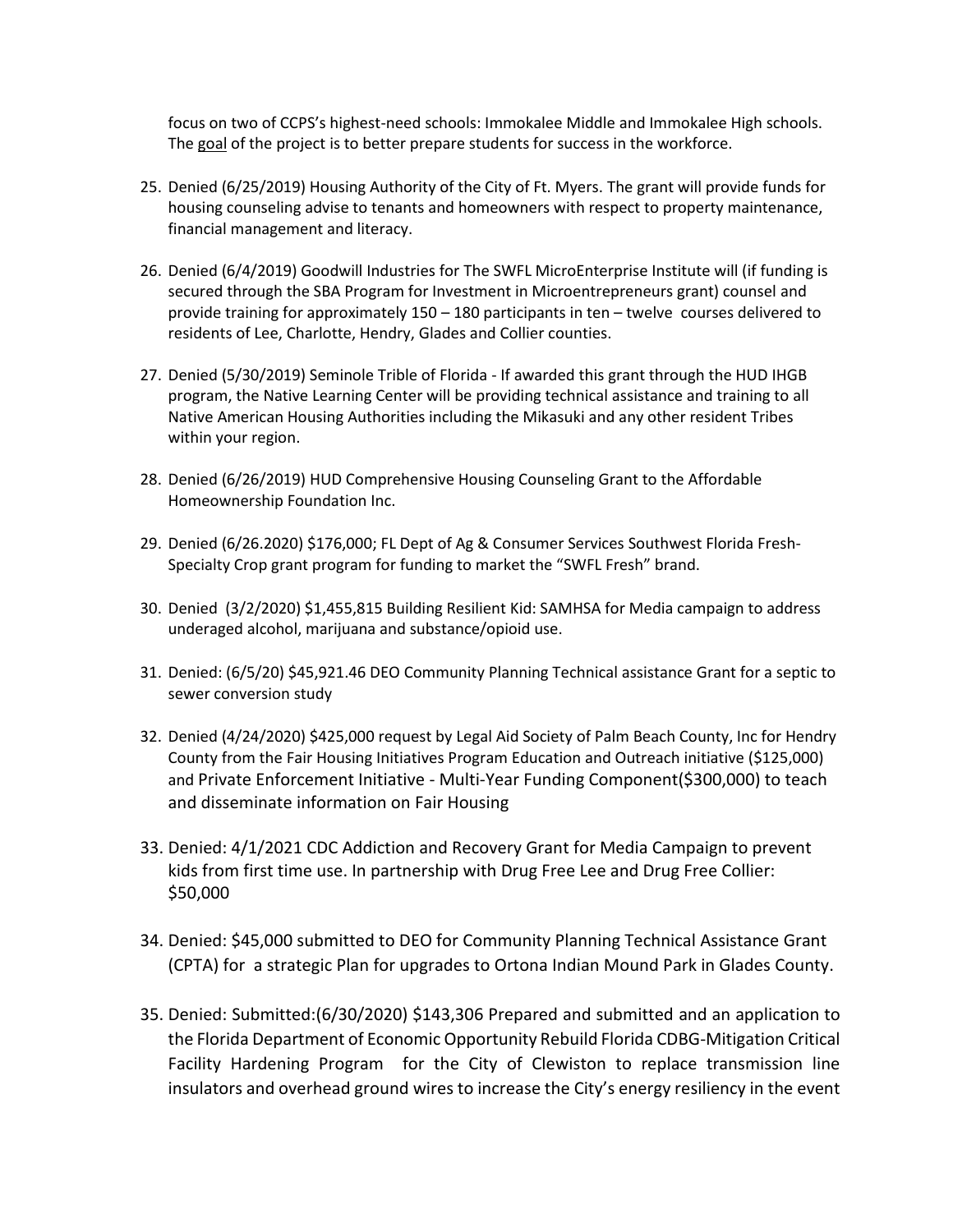focus on two of CCPS's highest-need schools: Immokalee Middle and Immokalee High schools. The goal of the project is to better prepare students for success in the workforce.

- 25. Denied (6/25/2019) Housing Authority of the City of Ft. Myers. The grant will provide funds for housing counseling advise to tenants and homeowners with respect to property maintenance, financial management and literacy.
- 26. Denied (6/4/2019) Goodwill Industries for The SWFL MicroEnterprise Institute will (if funding is secured through the SBA Program for Investment in Microentrepreneurs grant) counsel and provide training for approximately 150 – 180 participants in ten – twelve courses delivered to residents of Lee, Charlotte, Hendry, Glades and Collier counties.
- 27. Denied (5/30/2019) Seminole Trible of Florida If awarded this grant through the HUD IHGB program, the Native Learning Center will be providing technical assistance and training to all Native American Housing Authorities including the Mikasuki and any other resident Tribes within your region.
- 28. Denied (6/26/2019) HUD Comprehensive Housing Counseling Grant to the Affordable Homeownership Foundation Inc.
- 29. Denied (6/26.2020) \$176,000; FL Dept of Ag & Consumer Services Southwest Florida Fresh-Specialty Crop grant program for funding to market the "SWFL Fresh" brand.
- 30. Denied (3/2/2020) \$1,455,815 Building Resilient Kid: SAMHSA for Media campaign to address underaged alcohol, marijuana and substance/opioid use.
- 31. Denied: (6/5/20) \$45,921.46 DEO Community Planning Technical assistance Grant for a septic to sewer conversion study
- 32. Denied (4/24/2020) \$425,000 request by Legal Aid Society of Palm Beach County, Inc for Hendry County from the Fair Housing Initiatives Program Education and Outreach initiative (\$125,000) and Private Enforcement Initiative - Multi-Year Funding Component(\$300,000) to teach and disseminate information on Fair Housing
- 33. Denied: 4/1/2021 CDC Addiction and Recovery Grant for Media Campaign to prevent kids from first time use. In partnership with Drug Free Lee and Drug Free Collier: \$50,000
- 34. Denied: \$45,000 submitted to DEO for Community Planning Technical Assistance Grant (CPTA) for a strategic Plan for upgrades to Ortona Indian Mound Park in Glades County.
- 35. Denied: Submitted:(6/30/2020) \$143,306 Prepared and submitted and an application to the Florida Department of Economic Opportunity Rebuild Florida CDBG-Mitigation Critical Facility Hardening Program for the City of Clewiston to replace transmission line insulators and overhead ground wires to increase the City's energy resiliency in the event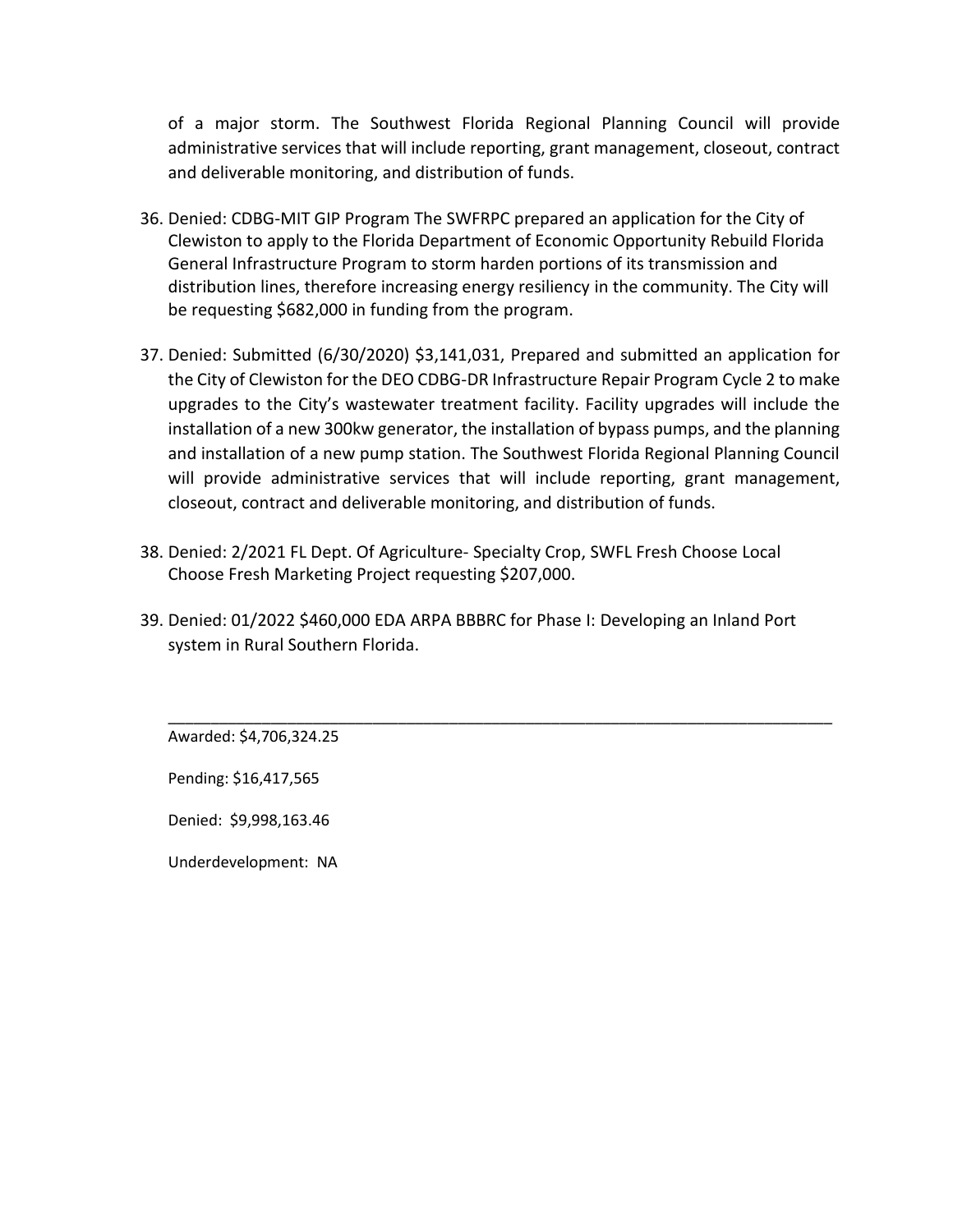of a major storm. The Southwest Florida Regional Planning Council will provide administrative services that will include reporting, grant management, closeout, contract and deliverable monitoring, and distribution of funds.

- 36. Denied: CDBG-MIT GIP Program The SWFRPC prepared an application for the City of Clewiston to apply to the Florida Department of Economic Opportunity Rebuild Florida General Infrastructure Program to storm harden portions of its transmission and distribution lines, therefore increasing energy resiliency in the community. The City will be requesting \$682,000 in funding from the program.
- 37. Denied: Submitted (6/30/2020) \$3,141,031, Prepared and submitted an application for the City of Clewiston for the DEO CDBG-DR Infrastructure Repair Program Cycle 2 to make upgrades to the City's wastewater treatment facility. Facility upgrades will include the installation of a new 300kw generator, the installation of bypass pumps, and the planning and installation of a new pump station. The Southwest Florida Regional Planning Council will provide administrative services that will include reporting, grant management, closeout, contract and deliverable monitoring, and distribution of funds.
- 38. Denied: 2/2021 FL Dept. Of Agriculture- Specialty Crop, SWFL Fresh Choose Local Choose Fresh Marketing Project requesting \$207,000.
- 39. Denied: 01/2022 \$460,000 EDA ARPA BBBRC for Phase I: Developing an Inland Port system in Rural Southern Florida.

\_\_\_\_\_\_\_\_\_\_\_\_\_\_\_\_\_\_\_\_\_\_\_\_\_\_\_\_\_\_\_\_\_\_\_\_\_\_\_\_\_\_\_\_\_\_\_\_\_\_\_\_\_\_\_\_\_\_\_\_\_\_\_\_\_\_\_\_\_\_\_\_\_\_\_\_\_\_

Awarded: \$4,706,324.25

Pending: \$16,417,565

Denied: \$9,998,163.46

Underdevelopment: NA